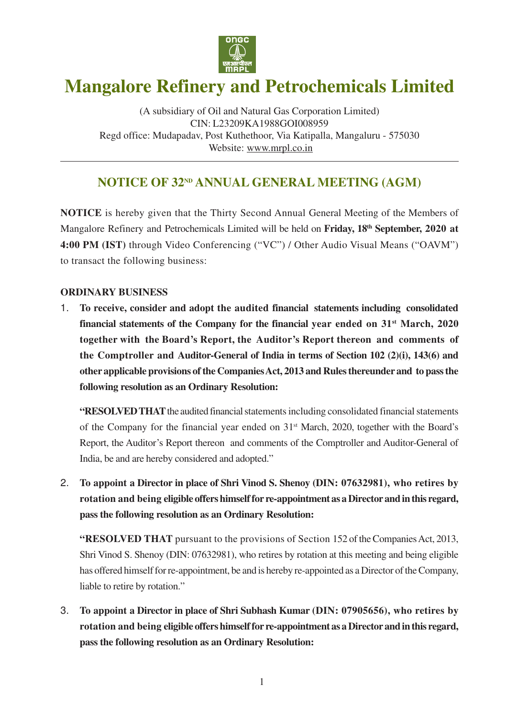

# **Mangalore Refinery and Petrochemicals Limited**

(A subsidiary of Oil and Natural Gas Corporation Limited) CIN: L23209KA1988GOI008959 Regd office: Mudapadav, Post Kuthethoor, Via Katipalla, Mangaluru - 575030 Website: www.mrpl.co.in

# **NOTICE OF 32<sup>ND</sup> ANNUAL GENERAL MEETING (AGM)**

**NOTICE** is hereby given that the Thirty Second Annual General Meeting of the Members of Mangalore Refinery and Petrochemicals Limited will be held on **Friday, 18th September, 2020 at 4:00 PM (IST)** through Video Conferencing ("VC") / Other Audio Visual Means ("OAVM") to transact the following business:

### **ORDINARY BUSINESS**

1. **To receive, consider and adopt the audited financial statements including consolidated financial statements of the Company for the financial year ended on 31st March, 2020 together with the Board's Report, the Auditor's Report thereon and comments of the Comptroller and Auditor-General of India in terms of Section 102 (2)(i), 143(6) and other applicable provisions of the Companies Act, 2013 and Rules thereunder and to pass the following resolution as an Ordinary Resolution:**

**"RESOLVED THAT** the audited financial statements including consolidated financial statements of the Company for the financial year ended on 31st March, 2020, together with the Board's Report, the Auditor's Report thereon and comments of the Comptroller and Auditor-General of India, be and are hereby considered and adopted."

2. **To appoint a Director in place of Shri Vinod S. Shenoy (DIN: 07632981), who retires by rotation and being eligible offers himself for re-appointment as a Director and in this regard, pass the following resolution as an Ordinary Resolution:**

**"RESOLVED THAT** pursuant to the provisions of Section 152 of the Companies Act, 2013, Shri Vinod S. Shenoy (DIN: 07632981), who retires by rotation at this meeting and being eligible has offered himself for re-appointment, be and is hereby re-appointed as a Director of the Company, liable to retire by rotation."

3. **To appoint a Director in place of Shri Subhash Kumar (DIN: 07905656), who retires by rotation and being eligible offers himself for re-appointment as a Director and in this regard, pass the following resolution as an Ordinary Resolution:**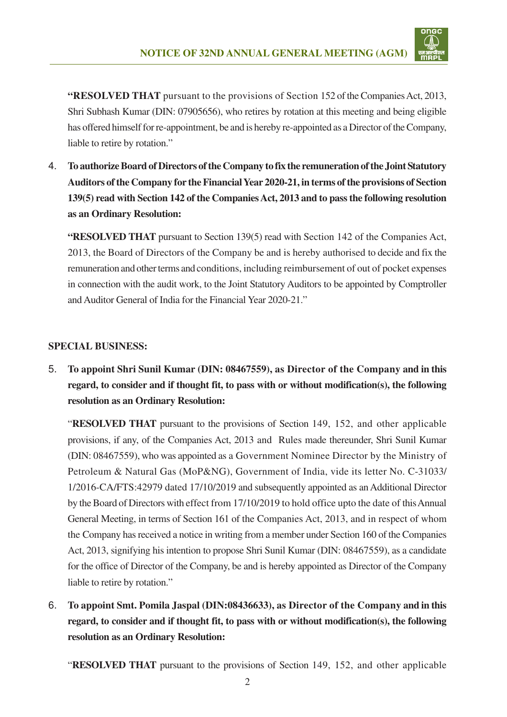

**"RESOLVED THAT** pursuant to the provisions of Section 152 of the Companies Act, 2013, Shri Subhash Kumar (DIN: 07905656), who retires by rotation at this meeting and being eligible has offered himself for re-appointment, be and is hereby re-appointed as a Director of the Company, liable to retire by rotation."

4. **To authorize Board of Directors of the Company to fix the remuneration of the Joint Statutory Auditors of the Company for the Financial Year 2020-21, in terms of the provisions of Section 139(5) read with Section 142 of the Companies Act, 2013 and to pass the following resolution as an Ordinary Resolution:**

**"RESOLVED THAT** pursuant to Section 139(5) read with Section 142 of the Companies Act, 2013, the Board of Directors of the Company be and is hereby authorised to decide and fix the remuneration and other terms and conditions, including reimbursement of out of pocket expenses in connection with the audit work, to the Joint Statutory Auditors to be appointed by Comptroller and Auditor General of India for the Financial Year 2020-21."

### **SPECIAL BUSINESS:**

5. **To appoint Shri Sunil Kumar (DIN: 08467559), as Director of the Company and in this regard, to consider and if thought fit, to pass with or without modification(s), the following resolution as an Ordinary Resolution:**

"**RESOLVED THAT** pursuant to the provisions of Section 149, 152, and other applicable provisions, if any, of the Companies Act, 2013 and Rules made thereunder, Shri Sunil Kumar (DIN: 08467559), who was appointed as a Government Nominee Director by the Ministry of Petroleum & Natural Gas (MoP&NG), Government of India, vide its letter No. C-31033/ 1/2016-CA/FTS:42979 dated 17/10/2019 and subsequently appointed as an Additional Director by the Board of Directors with effect from 17/10/2019 to hold office upto the date of this Annual General Meeting, in terms of Section 161 of the Companies Act, 2013, and in respect of whom the Company has received a notice in writing from a member under Section 160 of the Companies Act, 2013, signifying his intention to propose Shri Sunil Kumar (DIN: 08467559), as a candidate for the office of Director of the Company, be and is hereby appointed as Director of the Company liable to retire by rotation."

6. **To appoint Smt. Pomila Jaspal (DIN:08436633), as Director of the Company and in this regard, to consider and if thought fit, to pass with or without modification(s), the following resolution as an Ordinary Resolution:**

"**RESOLVED THAT** pursuant to the provisions of Section 149, 152, and other applicable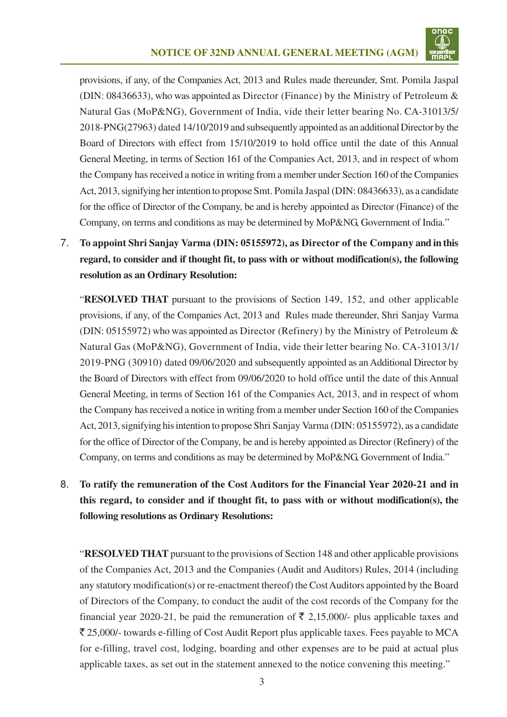

provisions, if any, of the Companies Act, 2013 and Rules made thereunder, Smt. Pomila Jaspal (DIN: 08436633), who was appointed as Director (Finance) by the Ministry of Petroleum & Natural Gas (MoP&NG), Government of India, vide their letter bearing No. CA-31013/5/ 2018-PNG(27963) dated 14/10/2019 and subsequently appointed as an additional Director by the Board of Directors with effect from 15/10/2019 to hold office until the date of this Annual General Meeting, in terms of Section 161 of the Companies Act, 2013, and in respect of whom the Company has received a notice in writing from a member under Section 160 of the Companies Act, 2013, signifying her intention to propose Smt. Pomila Jaspal (DIN: 08436633), as a candidate for the office of Director of the Company, be and is hereby appointed as Director (Finance) of the Company, on terms and conditions as may be determined by MoP&NG, Government of India."

7. **To appoint Shri Sanjay Varma (DIN: 05155972), as Director of the Company and in this regard, to consider and if thought fit, to pass with or without modification(s), the following resolution as an Ordinary Resolution:**

"**RESOLVED THAT** pursuant to the provisions of Section 149, 152, and other applicable provisions, if any, of the Companies Act, 2013 and Rules made thereunder, Shri Sanjay Varma (DIN: 05155972) who was appointed as Director (Refinery) by the Ministry of Petroleum & Natural Gas (MoP&NG), Government of India, vide their letter bearing No. CA-31013/1/ 2019-PNG (30910) dated 09/06/2020 and subsequently appointed as an Additional Director by the Board of Directors with effect from 09/06/2020 to hold office until the date of this Annual General Meeting, in terms of Section 161 of the Companies Act, 2013, and in respect of whom the Company has received a notice in writing from a member under Section 160 of the Companies Act, 2013, signifying his intention to propose Shri Sanjay Varma (DIN: 05155972), as a candidate for the office of Director of the Company, be and is hereby appointed as Director (Refinery) of the Company, on terms and conditions as may be determined by MoP&NG, Government of India."

# 8. **To ratify the remuneration of the Cost Auditors for the Financial Year 2020-21 and in this regard, to consider and if thought fit, to pass with or without modification(s), the following resolutions as Ordinary Resolutions:**

"**RESOLVED THAT** pursuant to the provisions of Section 148 and other applicable provisions of the Companies Act, 2013 and the Companies (Audit and Auditors) Rules, 2014 (including any statutory modification(s) or re-enactment thereof) the Cost Auditors appointed by the Board of Directors of the Company, to conduct the audit of the cost records of the Company for the financial year 2020-21, be paid the remuneration of  $\bar{\tau}$  2,15,000/- plus applicable taxes and  $\bar{\xi}$  25,000/- towards e-filling of Cost Audit Report plus applicable taxes. Fees payable to MCA for e-filling, travel cost, lodging, boarding and other expenses are to be paid at actual plus applicable taxes, as set out in the statement annexed to the notice convening this meeting."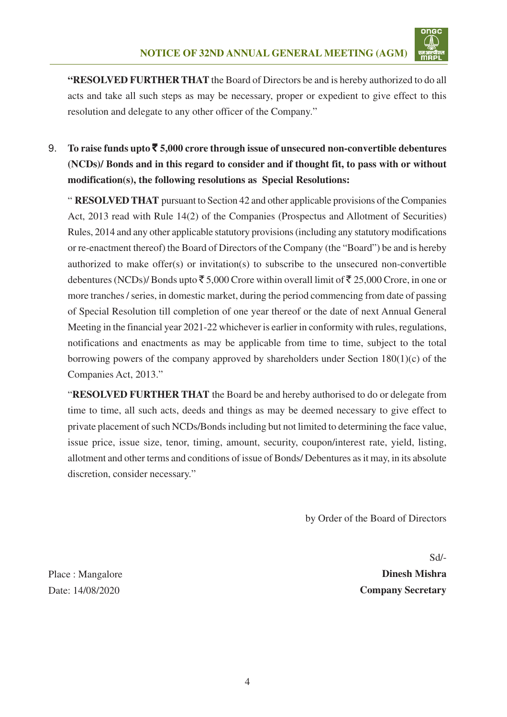

**"RESOLVED FURTHER THAT** the Board of Directors be and is hereby authorized to do all acts and take all such steps as may be necessary, proper or expedient to give effect to this resolution and delegate to any other officer of the Company."

9. **To raise funds upto** ` **5,000 crore through issue of unsecured non-convertible debentures (NCDs)/ Bonds and in this regard to consider and if thought fit, to pass with or without modification(s), the following resolutions as Special Resolutions:**

" **RESOLVED THAT** pursuant to Section 42 and other applicable provisions of the Companies Act, 2013 read with Rule 14(2) of the Companies (Prospectus and Allotment of Securities) Rules, 2014 and any other applicable statutory provisions (including any statutory modifications or re-enactment thereof) the Board of Directors of the Company (the "Board") be and is hereby authorized to make offer(s) or invitation(s) to subscribe to the unsecured non-convertible debentures (NCDs)/ Bonds upto  $\bar{\tau}$  5,000 Crore within overall limit of  $\bar{\tau}$  25,000 Crore, in one or more tranches / series, in domestic market, during the period commencing from date of passing of Special Resolution till completion of one year thereof or the date of next Annual General Meeting in the financial year 2021-22 whichever is earlier in conformity with rules, regulations, notifications and enactments as may be applicable from time to time, subject to the total borrowing powers of the company approved by shareholders under Section 180(1)(c) of the Companies Act, 2013."

 "**RESOLVED FURTHER THAT** the Board be and hereby authorised to do or delegate from time to time, all such acts, deeds and things as may be deemed necessary to give effect to private placement of such NCDs/Bonds including but not limited to determining the face value, issue price, issue size, tenor, timing, amount, security, coupon/interest rate, yield, listing, allotment and other terms and conditions of issue of Bonds/ Debentures as it may, in its absolute discretion, consider necessary."

by Order of the Board of Directors

Sd/- **Dinesh Mishra Company Secretary**

Place : Mangalore Date: 14/08/2020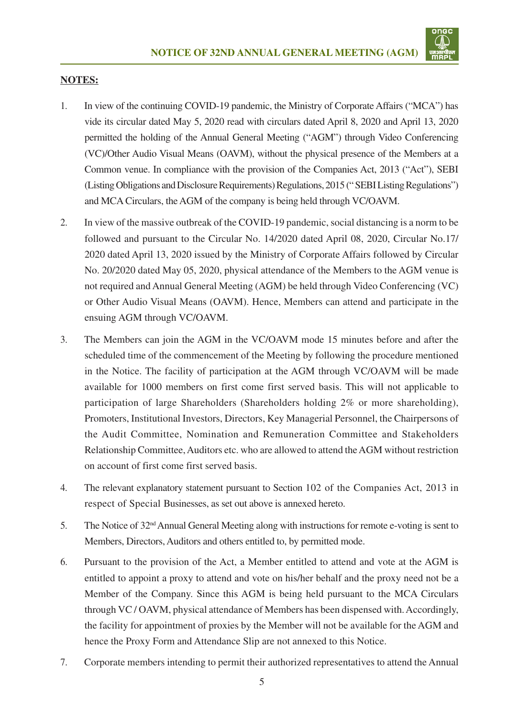

#### **NOTES:**

- 1. In view of the continuing COVID-19 pandemic, the Ministry of Corporate Affairs ("MCA") has vide its circular dated May 5, 2020 read with circulars dated April 8, 2020 and April 13, 2020 permitted the holding of the Annual General Meeting ("AGM") through Video Conferencing (VC)/Other Audio Visual Means (OAVM), without the physical presence of the Members at a Common venue. In compliance with the provision of the Companies Act, 2013 ("Act"), SEBI (Listing Obligations and Disclosure Requirements) Regulations, 2015 (" SEBI Listing Regulations") and MCA Circulars, the AGM of the company is being held through VC/OAVM.
- 2. In view of the massive outbreak of the COVID-19 pandemic, social distancing is a norm to be followed and pursuant to the Circular No. 14/2020 dated April 08, 2020, Circular No.17/ 2020 dated April 13, 2020 issued by the Ministry of Corporate Affairs followed by Circular No. 20/2020 dated May 05, 2020, physical attendance of the Members to the AGM venue is not required and Annual General Meeting (AGM) be held through Video Conferencing (VC) or Other Audio Visual Means (OAVM). Hence, Members can attend and participate in the ensuing AGM through VC/OAVM.
- 3. The Members can join the AGM in the VC/OAVM mode 15 minutes before and after the scheduled time of the commencement of the Meeting by following the procedure mentioned in the Notice. The facility of participation at the AGM through VC/OAVM will be made available for 1000 members on first come first served basis. This will not applicable to participation of large Shareholders (Shareholders holding 2% or more shareholding), Promoters, Institutional Investors, Directors, Key Managerial Personnel, the Chairpersons of the Audit Committee, Nomination and Remuneration Committee and Stakeholders Relationship Committee, Auditors etc. who are allowed to attend the AGM without restriction on account of first come first served basis.
- 4. The relevant explanatory statement pursuant to Section 102 of the Companies Act, 2013 in respect of Special Businesses, as set out above is annexed hereto.
- 5. The Notice of 32nd Annual General Meeting along with instructions for remote e-voting is sent to Members, Directors, Auditors and others entitled to, by permitted mode.
- 6. Pursuant to the provision of the Act, a Member entitled to attend and vote at the AGM is entitled to appoint a proxy to attend and vote on his/her behalf and the proxy need not be a Member of the Company. Since this AGM is being held pursuant to the MCA Circulars through VC / OAVM, physical attendance of Members has been dispensed with. Accordingly, the facility for appointment of proxies by the Member will not be available for the AGM and hence the Proxy Form and Attendance Slip are not annexed to this Notice.
- 7. Corporate members intending to permit their authorized representatives to attend the Annual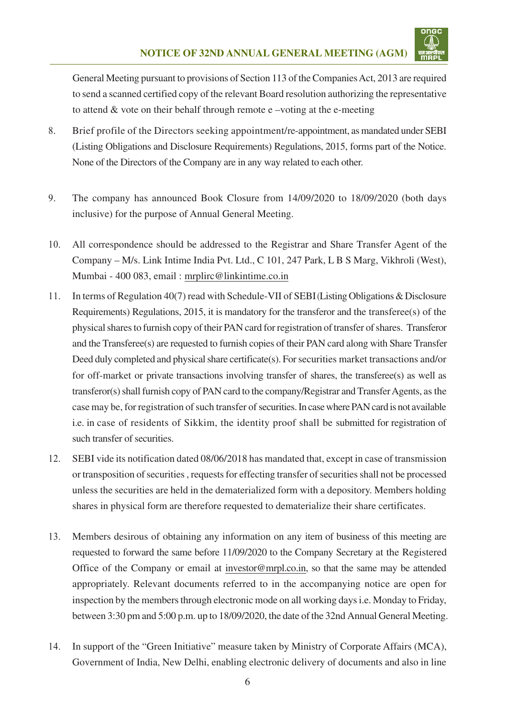

General Meeting pursuant to provisions of Section 113 of the Companies Act, 2013 are required to send a scanned certified copy of the relevant Board resolution authorizing the representative to attend  $\&$  vote on their behalf through remote e –voting at the e-meeting

- 8. Brief profile of the Directors seeking appointment/re-appointment, as mandated under SEBI (Listing Obligations and Disclosure Requirements) Regulations, 2015, forms part of the Notice. None of the Directors of the Company are in any way related to each other.
- 9. The company has announced Book Closure from 14/09/2020 to 18/09/2020 (both days inclusive) for the purpose of Annual General Meeting.
- 10. All correspondence should be addressed to the Registrar and Share Transfer Agent of the Company – M/s. Link Intime India Pvt. Ltd., C 101, 247 Park, L B S Marg, Vikhroli (West), Mumbai - 400 083, email : mrplirc@linkintime.co.in
- 11. In terms of Regulation 40(7) read with Schedule-VII of SEBI (Listing Obligations & Disclosure Requirements) Regulations, 2015, it is mandatory for the transferor and the transferee(s) of the physical shares to furnish copy of their PAN card for registration of transfer of shares. Transferor and the Transferee(s) are requested to furnish copies of their PAN card along with Share Transfer Deed duly completed and physical share certificate(s). For securities market transactions and/or for off-market or private transactions involving transfer of shares, the transferee(s) as well as transferor(s) shall furnish copy of PAN card to the company/Registrar and Transfer Agents, as the case may be, for registration of such transfer of securities. In case where PAN card is not available i.e. in case of residents of Sikkim, the identity proof shall be submitted for registration of such transfer of securities.
- 12. SEBI vide its notification dated 08/06/2018 has mandated that, except in case of transmission or transposition of securities , requests for effecting transfer of securities shall not be processed unless the securities are held in the dematerialized form with a depository. Members holding shares in physical form are therefore requested to dematerialize their share certificates.
- 13. Members desirous of obtaining any information on any item of business of this meeting are requested to forward the same before 11/09/2020 to the Company Secretary at the Registered Office of the Company or email at investor@mrpl.co.in, so that the same may be attended appropriately. Relevant documents referred to in the accompanying notice are open for inspection by the members through electronic mode on all working days i.e. Monday to Friday, between 3:30 pm and 5:00 p.m. up to 18/09/2020, the date of the 32nd Annual General Meeting.
- 14. In support of the "Green Initiative" measure taken by Ministry of Corporate Affairs (MCA), Government of India, New Delhi, enabling electronic delivery of documents and also in line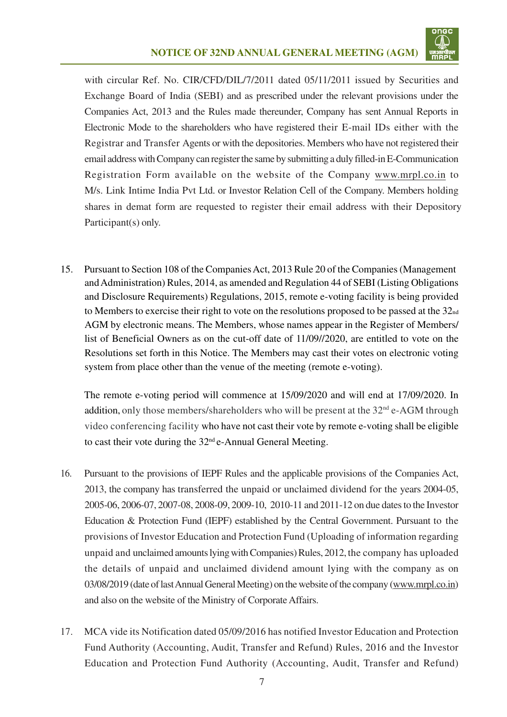

with circular Ref. No. CIR/CFD/DIL/7/2011 dated 05/11/2011 issued by Securities and Exchange Board of India (SEBI) and as prescribed under the relevant provisions under the Companies Act, 2013 and the Rules made thereunder, Company has sent Annual Reports in Electronic Mode to the shareholders who have registered their E-mail IDs either with the Registrar and Transfer Agents or with the depositories. Members who have not registered their email address with Company can register the same by submitting a duly filled-in E-Communication Registration Form available on the website of the Company www.mrpl.co.in to M/s. Link Intime India Pvt Ltd. or Investor Relation Cell of the Company. Members holding shares in demat form are requested to register their email address with their Depository Participant(s) only.

15. Pursuant to Section 108 of the Companies Act, 2013 Rule 20 of the Companies (Management) and Administration) Rules, 2014, as amended and Regulation 44 of SEBI (Listing Obligations and Disclosure Requirements) Regulations, 2015, remote e-voting facility is being provided to Members to exercise their right to vote on the resolutions proposed to be passed at the  $32<sub>nd</sub>$ AGM by electronic means. The Members, whose names appear in the Register of Members/ list of Beneficial Owners as on the cut-off date of 11/09//2020, are entitled to vote on the Resolutions set forth in this Notice. The Members may cast their votes on electronic voting system from place other than the venue of the meeting (remote e-voting).

The remote e-voting period will commence at 15/09/2020 and will end at 17/09/2020. In addition, only those members/shareholders who will be present at the  $32<sup>nd</sup>$  e-AGM through video conferencing facility who have not cast their vote by remote e-voting shall be eligible to cast their vote during the  $32<sup>nd</sup>$ e-Annual General Meeting.

- 16. Pursuant to the provisions of IEPF Rules and the applicable provisions of the Companies Act, 2013, the company has transferred the unpaid or unclaimed dividend for the years 2004-05, 2005-06, 2006-07, 2007-08, 2008-09, 2009-10, 2010-11 and 2011-12 on due dates to the Investor Education & Protection Fund (IEPF) established by the Central Government. Pursuant to the provisions of Investor Education and Protection Fund (Uploading of information regarding unpaid and unclaimed amounts lying with Companies) Rules, 2012, the company has uploaded the details of unpaid and unclaimed dividend amount lying with the company as on 03/08/2019 (date of last Annual General Meeting) on the website of the company (www.mrpl.co.in) and also on the website of the Ministry of Corporate Affairs.
- 17. MCA vide its Notification dated 05/09/2016 has notified Investor Education and Protection Fund Authority (Accounting, Audit, Transfer and Refund) Rules, 2016 and the Investor Education and Protection Fund Authority (Accounting, Audit, Transfer and Refund)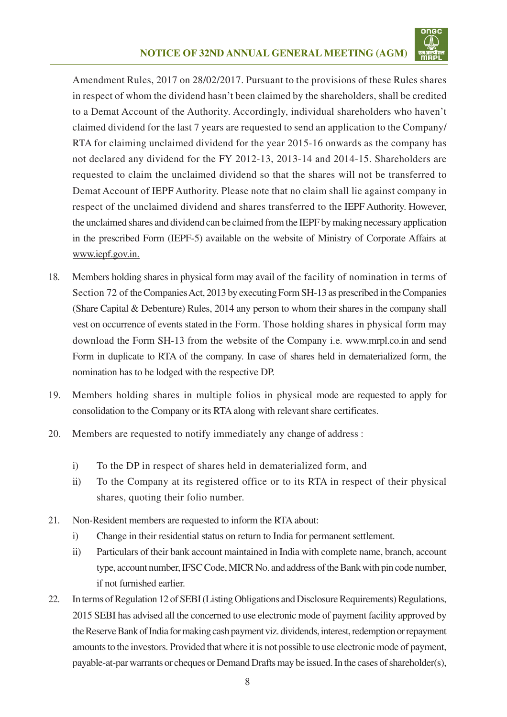

Amendment Rules, 2017 on 28/02/2017. Pursuant to the provisions of these Rules shares in respect of whom the dividend hasn't been claimed by the shareholders, shall be credited to a Demat Account of the Authority. Accordingly, individual shareholders who haven't claimed dividend for the last 7 years are requested to send an application to the Company/ RTA for claiming unclaimed dividend for the year 2015-16 onwards as the company has not declared any dividend for the FY 2012-13, 2013-14 and 2014-15. Shareholders are requested to claim the unclaimed dividend so that the shares will not be transferred to Demat Account of IEPF Authority. Please note that no claim shall lie against company in respect of the unclaimed dividend and shares transferred to the IEPF Authority. However, the unclaimed shares and dividend can be claimed from the IEPF by making necessary application in the prescribed Form (IEPF-5) available on the website of Ministry of Corporate Affairs at www.iepf.gov.in.

- 18. Members holding shares in physical form may avail of the facility of nomination in terms of Section 72 of the Companies Act, 2013 by executing Form SH-13 as prescribed in the Companies (Share Capital & Debenture) Rules, 2014 any person to whom their shares in the company shall vest on occurrence of events stated in the Form. Those holding shares in physical form may download the Form SH-13 from the website of the Company i.e. www.mrpl.co.in and send Form in duplicate to RTA of the company. In case of shares held in dematerialized form, the nomination has to be lodged with the respective DP.
- 19. Members holding shares in multiple folios in physical mode are requested to apply for consolidation to the Company or its RTA along with relevant share certificates.
- 20. Members are requested to notify immediately any change of address :
	- i) To the DP in respect of shares held in dematerialized form, and
	- ii) To the Company at its registered office or to its RTA in respect of their physical shares, quoting their folio number.
- 21. Non-Resident members are requested to inform the RTA about:
	- i) Change in their residential status on return to India for permanent settlement.
	- ii) Particulars of their bank account maintained in India with complete name, branch, account type, account number, IFSC Code, MICR No. and address of the Bank with pin code number, if not furnished earlier.
- 22. In terms of Regulation 12 of SEBI (Listing Obligations and Disclosure Requirements) Regulations, 2015 SEBI has advised all the concerned to use electronic mode of payment facility approved by the Reserve Bank of India for making cash payment viz. dividends, interest, redemption or repayment amounts to the investors. Provided that where it is not possible to use electronic mode of payment, payable-at-par warrants or cheques or Demand Drafts may be issued. In the cases of shareholder(s),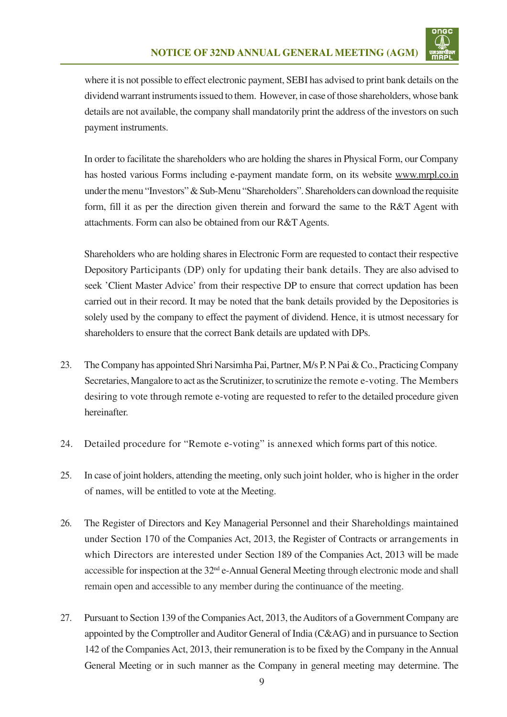

where it is not possible to effect electronic payment, SEBI has advised to print bank details on the dividend warrant instruments issued to them. However, in case of those shareholders, whose bank details are not available, the company shall mandatorily print the address of the investors on such payment instruments.

In order to facilitate the shareholders who are holding the shares in Physical Form, our Company has hosted various Forms including e-payment mandate form, on its website www.mrpl.co.in under the menu "Investors" & Sub-Menu "Shareholders". Shareholders can download the requisite form, fill it as per the direction given therein and forward the same to the R&T Agent with attachments. Form can also be obtained from our R&T Agents.

Shareholders who are holding shares in Electronic Form are requested to contact their respective Depository Participants (DP) only for updating their bank details. They are also advised to seek 'Client Master Advice' from their respective DP to ensure that correct updation has been carried out in their record. It may be noted that the bank details provided by the Depositories is solely used by the company to effect the payment of dividend. Hence, it is utmost necessary for shareholders to ensure that the correct Bank details are updated with DPs.

- 23. The Company has appointed Shri Narsimha Pai, Partner, M/s P. N Pai & Co., Practicing Company Secretaries, Mangalore to act as the Scrutinizer, to scrutinize the remote e-voting. The Members desiring to vote through remote e-voting are requested to refer to the detailed procedure given hereinafter.
- 24. Detailed procedure for "Remote e-voting" is annexed which forms part of this notice.
- 25. In case of joint holders, attending the meeting, only such joint holder, who is higher in the order of names, will be entitled to vote at the Meeting.
- 26. The Register of Directors and Key Managerial Personnel and their Shareholdings maintained under Section 170 of the Companies Act, 2013, the Register of Contracts or arrangements in which Directors are interested under Section 189 of the Companies Act, 2013 will be made accessible for inspection at the 32<sup>nd</sup> e-Annual General Meeting through electronic mode and shall remain open and accessible to any member during the continuance of the meeting.
- 27. Pursuant to Section 139 of the Companies Act, 2013, the Auditors of a Government Company are appointed by the Comptroller and Auditor General of India (C&AG) and in pursuance to Section 142 of the Companies Act, 2013, their remuneration is to be fixed by the Company in the Annual General Meeting or in such manner as the Company in general meeting may determine. The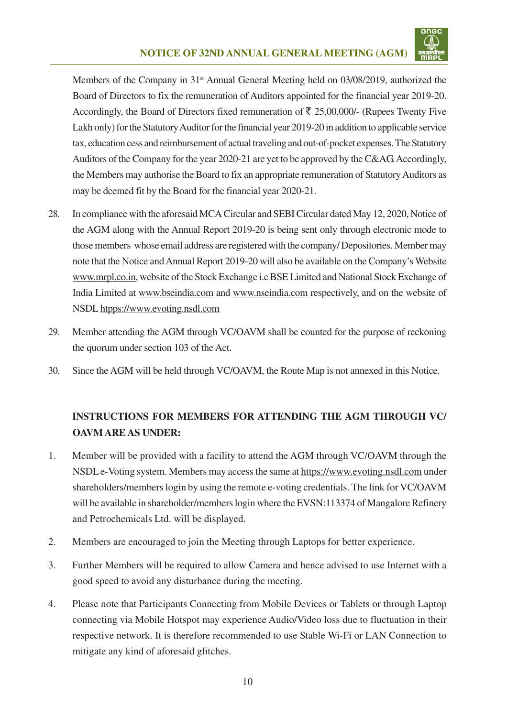

Members of the Company in 31<sup>st</sup> Annual General Meeting held on 03/08/2019, authorized the Board of Directors to fix the remuneration of Auditors appointed for the financial year 2019-20. Accordingly, the Board of Directors fixed remuneration of  $\bar{\tau}$  25,00,000/- (Rupees Twenty Five Lakh only) for the Statutory Auditor for the financial year 2019-20 in addition to applicable service tax, education cess and reimbursement of actual traveling and out-of-pocket expenses. The Statutory Auditors of the Company for the year 2020-21 are yet to be approved by the C&AG. Accordingly, the Members may authorise the Board to fix an appropriate remuneration of Statutory Auditors as may be deemed fit by the Board for the financial year 2020-21.

- 28. In compliance with the aforesaid MCA Circular and SEBI Circular dated May 12, 2020, Notice of the AGM along with the Annual Report 2019-20 is being sent only through electronic mode to those members whose email address are registered with the company/ Depositories. Member may note that the Notice and Annual Report 2019-20 will also be available on the Company's Website www.mrpl.co.in, website of the Stock Exchange i.e BSE Limited and National Stock Exchange of India Limited at www.bseindia.com and www.nseindia.com respectively, and on the website of NSDL htpps://www.evoting.nsdl.com
- 29. Member attending the AGM through VC/OAVM shall be counted for the purpose of reckoning the quorum under section 103 of the Act.
- 30. Since the AGM will be held through VC/OAVM, the Route Map is not annexed in this Notice.

# **INSTRUCTIONS FOR MEMBERS FOR ATTENDING THE AGM THROUGH VC/ OAVM ARE AS UNDER:**

- 1. Member will be provided with a facility to attend the AGM through VC/OAVM through the NSDL e-Voting system. Members may access the same at https://www.evoting.nsdl.com under shareholders/members login by using the remote e-voting credentials. The link for VC/OAVM will be available in shareholder/members login where the EVSN:113374 of Mangalore Refinery and Petrochemicals Ltd. will be displayed.
- 2. Members are encouraged to join the Meeting through Laptops for better experience.
- 3. Further Members will be required to allow Camera and hence advised to use Internet with a good speed to avoid any disturbance during the meeting.
- 4. Please note that Participants Connecting from Mobile Devices or Tablets or through Laptop connecting via Mobile Hotspot may experience Audio/Video loss due to fluctuation in their respective network. It is therefore recommended to use Stable Wi-Fi or LAN Connection to mitigate any kind of aforesaid glitches.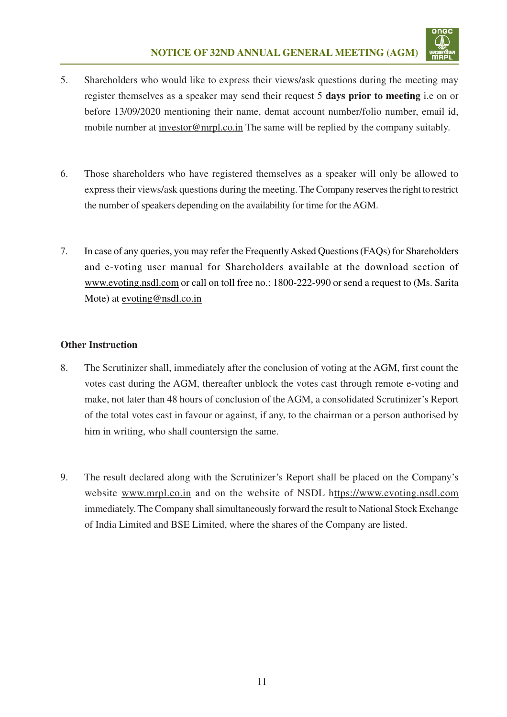

- 5. Shareholders who would like to express their views/ask questions during the meeting may register themselves as a speaker may send their request 5 **days prior to meeting** i.e on or before 13/09/2020 mentioning their name, demat account number/folio number, email id, mobile number at investor@mrpl.co.in The same will be replied by the company suitably.
- 6. Those shareholders who have registered themselves as a speaker will only be allowed to express their views/ask questions during the meeting.The Company reserves the right to restrict the number of speakers depending on the availability for time for the AGM.
- 7. In case of any queries, you may refer the Frequently Asked Questions (FAQs) for Shareholders and e-voting user manual for Shareholders available at the download section of www.evoting.nsdl.com or call on toll free no.: 1800-222-990 or send a request to (Ms. Sarita Mote) at evoting@nsdl.co.in

### **Other Instruction**

- 8. The Scrutinizer shall, immediately after the conclusion of voting at the AGM, first count the votes cast during the AGM, thereafter unblock the votes cast through remote e-voting and make, not later than 48 hours of conclusion of the AGM, a consolidated Scrutinizer's Report of the total votes cast in favour or against, if any, to the chairman or a person authorised by him in writing, who shall countersign the same.
- 9. The result declared along with the Scrutinizer's Report shall be placed on the Company's website www.mrpl.co.in and on the website of NSDL https://www.evoting.nsdl.com immediately. The Company shall simultaneously forward the result to National Stock Exchange of India Limited and BSE Limited, where the shares of the Company are listed.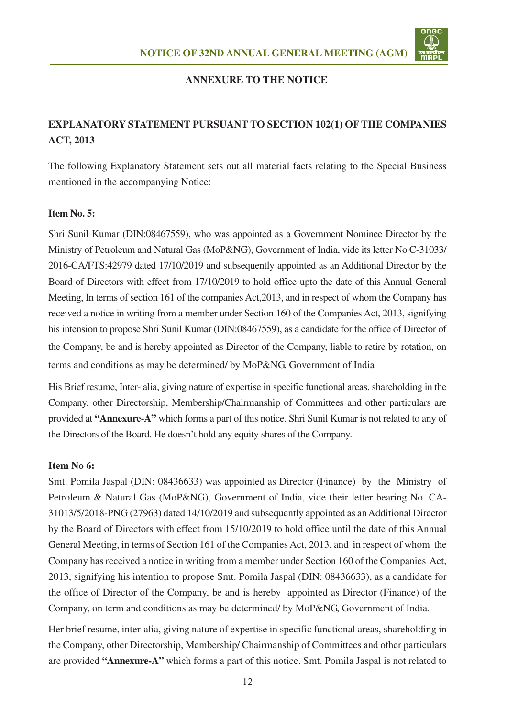

#### **ANNEXURE TO THE NOTICE**

### **EXPLANATORY STATEMENT PURSUANT TO SECTION 102(1) OF THE COMPANIES ACT, 2013**

The following Explanatory Statement sets out all material facts relating to the Special Business mentioned in the accompanying Notice:

#### **Item No. 5:**

Shri Sunil Kumar (DIN:08467559), who was appointed as a Government Nominee Director by the Ministry of Petroleum and Natural Gas (MoP&NG), Government of India, vide its letter No C-31033/ 2016-CA/FTS:42979 dated 17/10/2019 and subsequently appointed as an Additional Director by the Board of Directors with effect from 17/10/2019 to hold office upto the date of this Annual General Meeting, In terms of section 161 of the companies Act,2013, and in respect of whom the Company has received a notice in writing from a member under Section 160 of the Companies Act, 2013, signifying his intension to propose Shri Sunil Kumar (DIN:08467559), as a candidate for the office of Director of the Company, be and is hereby appointed as Director of the Company, liable to retire by rotation, on terms and conditions as may be determined/ by MoP&NG, Government of India

His Brief resume, Inter- alia, giving nature of expertise in specific functional areas, shareholding in the Company, other Directorship, Membership/Chairmanship of Committees and other particulars are provided at **"Annexure-A"** which forms a part of this notice. Shri Sunil Kumar is not related to any of the Directors of the Board. He doesn't hold any equity shares of the Company.

#### **Item No 6:**

Smt. Pomila Jaspal (DIN: 08436633) was appointed as Director (Finance) by the Ministry of Petroleum & Natural Gas (MoP&NG), Government of India, vide their letter bearing No. CA-31013/5/2018-PNG (27963) dated 14/10/2019 and subsequently appointed as an Additional Director by the Board of Directors with effect from 15/10/2019 to hold office until the date of this Annual General Meeting, in terms of Section 161 of the Companies Act, 2013, and in respect of whom the Company has received a notice in writing from a member under Section 160 of the Companies Act, 2013, signifying his intention to propose Smt. Pomila Jaspal (DIN: 08436633), as a candidate for the office of Director of the Company, be and is hereby appointed as Director (Finance) of the Company, on term and conditions as may be determined/ by MoP&NG, Government of India.

Her brief resume, inter-alia, giving nature of expertise in specific functional areas, shareholding in the Company, other Directorship, Membership/ Chairmanship of Committees and other particulars are provided **"Annexure-A"** which forms a part of this notice. Smt. Pomila Jaspal is not related to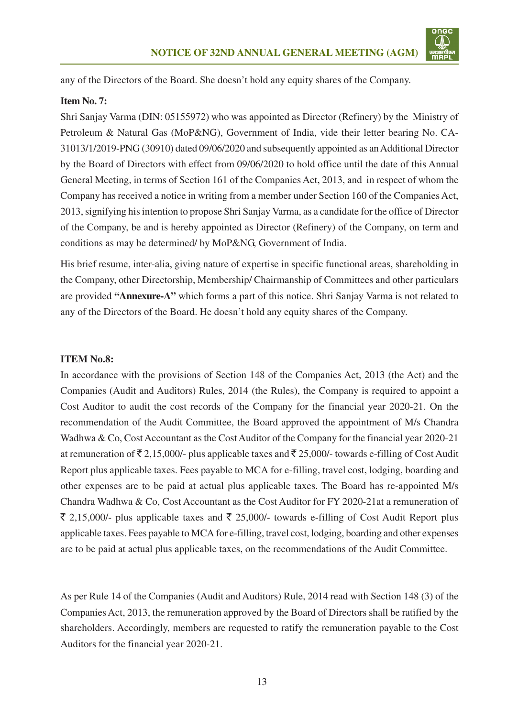

any of the Directors of the Board. She doesn't hold any equity shares of the Company.

#### **Item No. 7:**

Shri Sanjay Varma (DIN: 05155972) who was appointed as Director (Refinery) by the Ministry of Petroleum & Natural Gas (MoP&NG), Government of India, vide their letter bearing No. CA-31013/1/2019-PNG (30910) dated 09/06/2020 and subsequently appointed as an Additional Director by the Board of Directors with effect from 09/06/2020 to hold office until the date of this Annual General Meeting, in terms of Section 161 of the Companies Act, 2013, and in respect of whom the Company has received a notice in writing from a member under Section 160 of the Companies Act, 2013, signifying his intention to propose Shri Sanjay Varma, as a candidate for the office of Director of the Company, be and is hereby appointed as Director (Refinery) of the Company, on term and conditions as may be determined/ by MoP&NG, Government of India.

His brief resume, inter-alia, giving nature of expertise in specific functional areas, shareholding in the Company, other Directorship, Membership/ Chairmanship of Committees and other particulars are provided **"Annexure-A"** which forms a part of this notice. Shri Sanjay Varma is not related to any of the Directors of the Board. He doesn't hold any equity shares of the Company.

#### **ITEM No.8:**

In accordance with the provisions of Section 148 of the Companies Act, 2013 (the Act) and the Companies (Audit and Auditors) Rules, 2014 (the Rules), the Company is required to appoint a Cost Auditor to audit the cost records of the Company for the financial year 2020-21. On the recommendation of the Audit Committee, the Board approved the appointment of M/s Chandra Wadhwa & Co, Cost Accountant as the Cost Auditor of the Company for the financial year 2020-21 at remuneration of  $\bar{\mathcal{F}}$  2,15,000/- plus applicable taxes and  $\bar{\mathcal{F}}$  25,000/- towards e-filling of Cost Audit Report plus applicable taxes. Fees payable to MCA for e-filling, travel cost, lodging, boarding and other expenses are to be paid at actual plus applicable taxes. The Board has re-appointed M/s Chandra Wadhwa & Co, Cost Accountant as the Cost Auditor for FY 2020-21at a remuneration of  $\bar{\xi}$  2,15,000/- plus applicable taxes and  $\bar{\xi}$  25,000/- towards e-filling of Cost Audit Report plus applicable taxes. Fees payable to MCA for e-filling, travel cost, lodging, boarding and other expenses are to be paid at actual plus applicable taxes, on the recommendations of the Audit Committee.

As per Rule 14 of the Companies (Audit and Auditors) Rule, 2014 read with Section 148 (3) of the Companies Act, 2013, the remuneration approved by the Board of Directors shall be ratified by the shareholders. Accordingly, members are requested to ratify the remuneration payable to the Cost Auditors for the financial year 2020-21.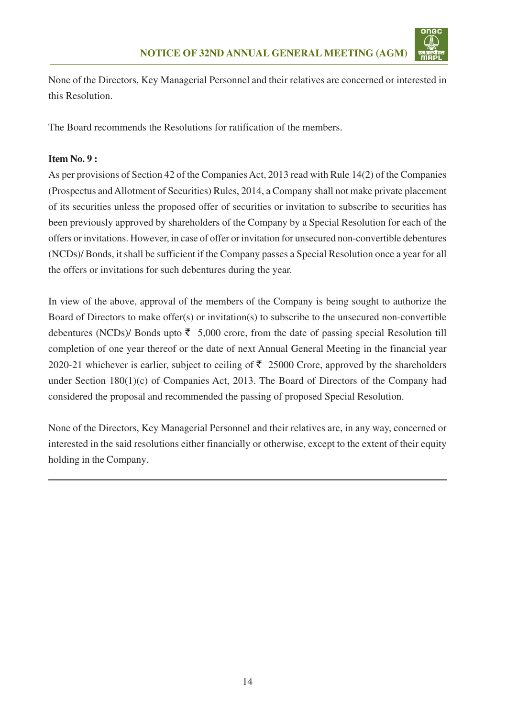

None of the Directors, Key Managerial Personnel and their relatives are concerned or interested in this Resolution.

The Board recommends the Resolutions for ratification of the members.

### **Item No. 9 :**

As per provisions of Section 42 of the Companies Act, 2013 read with Rule 14(2) of the Companies (Prospectus and Allotment of Securities) Rules, 2014, a Company shall not make private placement of its securities unless the proposed offer of securities or invitation to subscribe to securities has been previously approved by shareholders of the Company by a Special Resolution for each of the offers or invitations. However, in case of offer or invitation for unsecured non-convertible debentures (NCDs)/ Bonds, it shall be sufficient if the Company passes a Special Resolution once a year for all the offers or invitations for such debentures during the year.

In view of the above, approval of the members of the Company is being sought to authorize the Board of Directors to make offer(s) or invitation(s) to subscribe to the unsecured non-convertible debentures (NCDs)/ Bonds upto  $\bar{\tau}$  5,000 crore, from the date of passing special Resolution till completion of one year thereof or the date of next Annual General Meeting in the financial year 2020-21 whichever is earlier, subject to ceiling of  $\bar{\tau}$  25000 Crore, approved by the shareholders under Section 180(1)(c) of Companies Act, 2013. The Board of Directors of the Company had considered the proposal and recommended the passing of proposed Special Resolution.

None of the Directors, Key Managerial Personnel and their relatives are, in any way, concerned or interested in the said resolutions either financially or otherwise, except to the extent of their equity holding in the Company.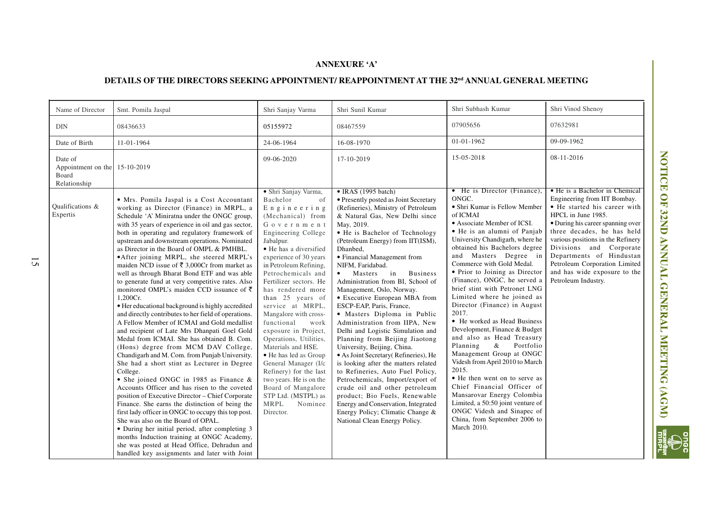#### **ANNEXURE 'A'**

# **DETAILS OF THE DIRECTORS SEEKING APPOINTMENT/ REAPPOINTMENT AT THE 32nd ANNUAL GENERAL MEETING**

| Name of Director                                                  | Smt. Pomila Jaspal                                                                                                                                                                                                                                                                                                                                                                                                                                                                                                                                                                                                                                                                                                                                                                                                                                                                                                                                                                                                                                                                                                                                                                                                                                                                                                                                                                                                                                                                                                                         | Shri Sanjay Varma                                                                                                                                                                                                                                                                                                                                                                                                                                                                                                                                                                                                                 | Shri Sunil Kumar                                                                                                                                                                                                                                                                                                                                                                                                                                                                                                                                                                                                                                                                                                                                                                                                                                                                                                                                                                       | Shri Subhash Kumar                                                                                                                                                                                                                                                                                                                                                                                                                                                                                                                                                                                                                                                                                                                                                                                                                                                         | Shri Vinod Shenoy                                                                                                                                                                                                                                                                                                                                                           |
|-------------------------------------------------------------------|--------------------------------------------------------------------------------------------------------------------------------------------------------------------------------------------------------------------------------------------------------------------------------------------------------------------------------------------------------------------------------------------------------------------------------------------------------------------------------------------------------------------------------------------------------------------------------------------------------------------------------------------------------------------------------------------------------------------------------------------------------------------------------------------------------------------------------------------------------------------------------------------------------------------------------------------------------------------------------------------------------------------------------------------------------------------------------------------------------------------------------------------------------------------------------------------------------------------------------------------------------------------------------------------------------------------------------------------------------------------------------------------------------------------------------------------------------------------------------------------------------------------------------------------|-----------------------------------------------------------------------------------------------------------------------------------------------------------------------------------------------------------------------------------------------------------------------------------------------------------------------------------------------------------------------------------------------------------------------------------------------------------------------------------------------------------------------------------------------------------------------------------------------------------------------------------|----------------------------------------------------------------------------------------------------------------------------------------------------------------------------------------------------------------------------------------------------------------------------------------------------------------------------------------------------------------------------------------------------------------------------------------------------------------------------------------------------------------------------------------------------------------------------------------------------------------------------------------------------------------------------------------------------------------------------------------------------------------------------------------------------------------------------------------------------------------------------------------------------------------------------------------------------------------------------------------|----------------------------------------------------------------------------------------------------------------------------------------------------------------------------------------------------------------------------------------------------------------------------------------------------------------------------------------------------------------------------------------------------------------------------------------------------------------------------------------------------------------------------------------------------------------------------------------------------------------------------------------------------------------------------------------------------------------------------------------------------------------------------------------------------------------------------------------------------------------------------|-----------------------------------------------------------------------------------------------------------------------------------------------------------------------------------------------------------------------------------------------------------------------------------------------------------------------------------------------------------------------------|
| DIN                                                               | 08436633                                                                                                                                                                                                                                                                                                                                                                                                                                                                                                                                                                                                                                                                                                                                                                                                                                                                                                                                                                                                                                                                                                                                                                                                                                                                                                                                                                                                                                                                                                                                   | 05155972                                                                                                                                                                                                                                                                                                                                                                                                                                                                                                                                                                                                                          | 08467559                                                                                                                                                                                                                                                                                                                                                                                                                                                                                                                                                                                                                                                                                                                                                                                                                                                                                                                                                                               | 07905656                                                                                                                                                                                                                                                                                                                                                                                                                                                                                                                                                                                                                                                                                                                                                                                                                                                                   | 07632981                                                                                                                                                                                                                                                                                                                                                                    |
| Date of Birth                                                     | 11-01-1964                                                                                                                                                                                                                                                                                                                                                                                                                                                                                                                                                                                                                                                                                                                                                                                                                                                                                                                                                                                                                                                                                                                                                                                                                                                                                                                                                                                                                                                                                                                                 | 24-06-1964                                                                                                                                                                                                                                                                                                                                                                                                                                                                                                                                                                                                                        | 16-08-1970                                                                                                                                                                                                                                                                                                                                                                                                                                                                                                                                                                                                                                                                                                                                                                                                                                                                                                                                                                             | 01-01-1962                                                                                                                                                                                                                                                                                                                                                                                                                                                                                                                                                                                                                                                                                                                                                                                                                                                                 | 09-09-1962                                                                                                                                                                                                                                                                                                                                                                  |
| Date of<br>Appointment on the 15-10-2019<br>Board<br>Relationship |                                                                                                                                                                                                                                                                                                                                                                                                                                                                                                                                                                                                                                                                                                                                                                                                                                                                                                                                                                                                                                                                                                                                                                                                                                                                                                                                                                                                                                                                                                                                            | 09-06-2020                                                                                                                                                                                                                                                                                                                                                                                                                                                                                                                                                                                                                        | 17-10-2019                                                                                                                                                                                                                                                                                                                                                                                                                                                                                                                                                                                                                                                                                                                                                                                                                                                                                                                                                                             | 15-05-2018                                                                                                                                                                                                                                                                                                                                                                                                                                                                                                                                                                                                                                                                                                                                                                                                                                                                 | 08-11-2016                                                                                                                                                                                                                                                                                                                                                                  |
| Qualifications &<br>Expertis                                      | • Mrs. Pomila Jaspal is a Cost Accountant<br>working as Director (Finance) in MRPL, a<br>Schedule 'A' Miniratna under the ONGC group,<br>with 35 years of experience in oil and gas sector,<br>both in operating and regulatory framework of<br>upstream and downstream operations. Nominated<br>as Director in the Board of OMPL & PMHBL.<br>• After joining MRPL, she steered MRPL's<br>maiden NCD issue of $\overline{\xi}$ 3,000Cr from market as<br>well as through Bharat Bond ETF and was able<br>to generate fund at very competitive rates. Also<br>monitored OMPL's maiden CCD issuance of $\bar{\tau}$<br>1,200Cr.<br>· Her educational background is highly accredited<br>and directly contributes to her field of operations.<br>A Fellow Member of ICMAI and Gold medallist<br>and recipient of Late Mrs Dhanpati Goel Gold<br>Medal from ICMAI. She has obtained B. Com.<br>(Hons) degree from MCM DAV College,<br>Chandigarh and M. Com. from Punjab University.<br>She had a short stint as Lecturer in Degree<br>College.<br>• She joined ONGC in 1985 as Finance &<br>Accounts Officer and has risen to the coveted<br>position of Executive Director - Chief Corporate<br>Finance. She earns the distinction of being the<br>first lady officer in ONGC to occupy this top post.<br>She was also on the Board of OPAL.<br>• During her initial period, after completing 3<br>months Induction training at ONGC Academy,<br>she was posted at Head Office, Dehradun and<br>handled key assignments and later with Joint | · Shri Sanjay Varma,<br>Bachelor<br>of<br>Engineering<br>(Mechanical) from<br>Government<br>Engineering College<br>Jabalpur.<br>• He has a diversified<br>experience of 30 years<br>in Petroleum Refining,<br>Petrochemicals and<br>Fertilizer sectors. He<br>has rendered more<br>than 25 years of<br>service at MRPL,<br>Mangalore with cross-<br>functional<br>work<br>exposure in Project,<br>Operations, Utilities,<br>Materials and HSE.<br>• He has led as Group<br>General Manager (I/c<br>Refinery) for the last<br>two years. He is on the<br>Board of Mangalore<br>STP Ltd. (MSTPL) as<br>MRPL<br>Nominee<br>Director. | • IRAS (1995 batch)<br>• Presently posted as Joint Secretary<br>(Refineries), Ministry of Petroleum<br>& Natural Gas, New Delhi since<br>May, 2019.<br>• He is Bachelor of Technology<br>(Petroleum Energy) from IIT(ISM),<br>Dhanbed,<br>• Financial Management from<br>NIFM, Faridabad.<br>Masters<br>in<br><b>Business</b><br>$\bullet$<br>Administration from BI, School of<br>Management, Oslo, Norway.<br>• Executive European MBA from<br>ESCP-EAP, Paris, France,<br>• Masters Diploma in Public<br>Administration from IIPA, New<br>Delhi and Logistic Simulation and<br>Planning from Beijing Jiaotong<br>University, Beijing, China.<br>· As Joint Secretary (Refineries), He<br>is looking after the matters related<br>to Refineries, Auto Fuel Policy,<br>Petrochemicals, Import/export of<br>crude oil and other petroleum<br>product; Bio Fuels, Renewable<br>Energy and Conservation, Integrated<br>Energy Policy; Climatic Change &<br>National Clean Energy Policy. | • He is Director (Finance),<br>ONGC.<br>• Shri Kumar is Fellow Member<br>of ICMAI<br>• Associate Member of ICSI.<br>• He is an alumni of Panjab<br>University Chandigarh, where he<br>obtained his Bachelors degree<br>and Masters Degree in<br>Commerce with Gold Medal.<br>• Prior to Joining as Director<br>(Finance), ONGC, he served a<br>brief stint with Petronet LNG<br>Limited where he joined as<br>Director (Finance) in August<br>2017.<br>• He worked as Head Business<br>Development, Finance & Budget<br>and also as Head Treasury<br>Planning<br>$\&$<br>Portfolio<br>Management Group at ONGC<br>Videsh from April 2010 to March<br>2015.<br>• He then went on to serve as<br>Chief Financial Officer of<br>Mansarovar Energy Colombia<br>Limited, a 50:50 joint venture of<br>ONGC Videsh and Sinapec of<br>China, from September 2006 to<br>March 2010. | • He is a Bachelor in Chemical<br>Engineering from IIT Bombay.<br>• He started his career with<br>HPCL in June 1985.<br>• During his career spanning over<br>three decades, he has held<br>various positions in the Refinery<br>Divisions and Corporate<br>Departments of Hindustan<br>Petroleum Corporation Limited<br>and has wide exposure to the<br>Petroleum Industry. |

15

**NOTICE OF 32ND ANNUAL GENERAL MEETING (AGM)**

NOTICE OF 32ND ANNUAL GENERAL MEETING (AGM)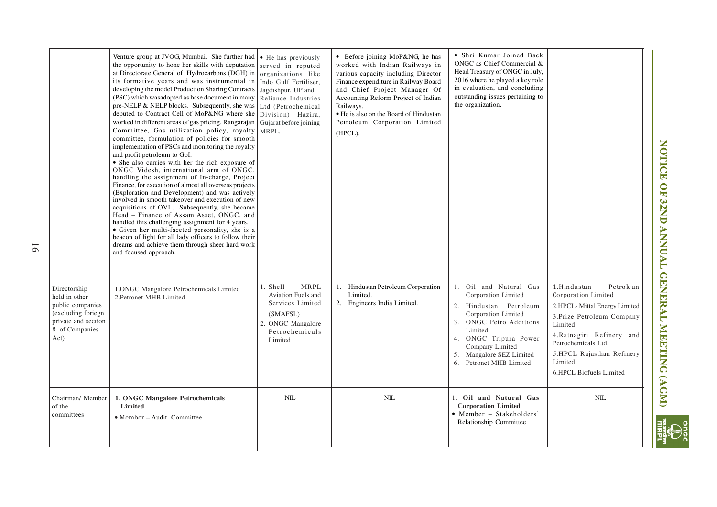|                                                                                                                           | Venture group at JVOG, Mumbai. She further had $\cdot$ He has previously<br>the opportunity to hone her skills with deputation<br>at Directorate General of Hydrocarbons (DGH) in $\log$ anizations like<br>its formative years and was instrumental in<br>developing the model Production Sharing Contracts<br>(PSC) which wasadopted as base document in many<br>pre-NELP & NELP blocks. Subsequently, she was<br>deputed to Contract Cell of MoP&NG where she<br>worked in different areas of gas pricing, Rangarajan<br>Committee, Gas utilization policy, royalty<br>committee, formulation of policies for smooth<br>implementation of PSCs and monitoring the royalty<br>and profit petroleum to GoI.<br>• She also carries with her the rich exposure of<br>ONGC Videsh, international arm of ONGC,<br>handling the assignment of In-charge, Project<br>Finance, for execution of almost all overseas projects<br>(Exploration and Development) and was actively<br>involved in smooth takeover and execution of new<br>acquisitions of OVL. Subsequently, she became<br>Head - Finance of Assam Asset, ONGC, and<br>handled this challenging assignment for 4 years.<br>• Given her multi-faceted personality, she is a<br>beacon of light for all lady officers to follow their<br>dreams and achieve them through sheer hard work<br>and focused approach. | served in reputed<br>Indo Gulf Fertiliser.<br>Jagdishpur, UP and<br>Reliance Industries<br>Ltd (Petrochemical<br>Division) Hazira,<br>Gujarat before joining<br>MRPL. | • Before joining MoP&NG, he has<br>worked with Indian Railways in<br>various capacity including Director<br>Finance expenditure in Railway Board<br>and Chief Project Manager Of<br>Accounting Reform Project of Indian<br>Railways.<br>• He is also on the Board of Hindustan<br>Petroleum Corporation Limited<br>(HPCL). | • Shri Kumar Joined Back<br>ONGC as Chief Commercial &<br>Head Treasury of ONGC in July,<br>2016 where he played a key role<br>in evaluation, and concluding<br>outstanding issues pertaining to<br>the organization.                                         |                                                                                                                                                                                                                                                 |
|---------------------------------------------------------------------------------------------------------------------------|-----------------------------------------------------------------------------------------------------------------------------------------------------------------------------------------------------------------------------------------------------------------------------------------------------------------------------------------------------------------------------------------------------------------------------------------------------------------------------------------------------------------------------------------------------------------------------------------------------------------------------------------------------------------------------------------------------------------------------------------------------------------------------------------------------------------------------------------------------------------------------------------------------------------------------------------------------------------------------------------------------------------------------------------------------------------------------------------------------------------------------------------------------------------------------------------------------------------------------------------------------------------------------------------------------------------------------------------------------------------------|-----------------------------------------------------------------------------------------------------------------------------------------------------------------------|----------------------------------------------------------------------------------------------------------------------------------------------------------------------------------------------------------------------------------------------------------------------------------------------------------------------------|---------------------------------------------------------------------------------------------------------------------------------------------------------------------------------------------------------------------------------------------------------------|-------------------------------------------------------------------------------------------------------------------------------------------------------------------------------------------------------------------------------------------------|
| Directorship<br>held in other<br>public companies<br>(excluding foriegn)<br>private and section<br>8 of Companies<br>Act) | 1.ONGC Mangalore Petrochemicals Limited<br>2. Petronet MHB Limited                                                                                                                                                                                                                                                                                                                                                                                                                                                                                                                                                                                                                                                                                                                                                                                                                                                                                                                                                                                                                                                                                                                                                                                                                                                                                                    | 1. Shell<br>MRPL<br>Aviation Fuels and<br>Services Limited<br>(SMAFSL)<br>2. ONGC Mangalore<br>Petrochemicals<br>Limited                                              | 1. Hindustan Petroleum Corporation<br>Limited.<br>2. Engineers India Limited.                                                                                                                                                                                                                                              | 1. Oil and Natural Gas<br>Corporation Limited<br>Hindustan Petroleum<br>2.<br>Corporation Limited<br><b>ONGC</b> Petro Additions<br>3.<br>Limited<br>ONGC Tripura Power<br>4.<br>Company Limited<br>Mangalore SEZ Limited<br>5.<br>Petronet MHB Limited<br>6. | 1.Hindustan<br>Petroleun<br>Corporation Limited<br>2.HPCL-Mittal Energy Limited<br>3. Prize Petroleum Company<br>Limited<br>4. Ratnagiri Refinery and<br>Petrochemicals Ltd.<br>5.HPCL Rajasthan Refinery<br>Limited<br>6.HPCL Biofuels Limited |
| Chairman/ Member<br>of the<br>committees                                                                                  | 1. ONGC Mangalore Petrochemicals<br>Limited<br>• Member - Audit Committee                                                                                                                                                                                                                                                                                                                                                                                                                                                                                                                                                                                                                                                                                                                                                                                                                                                                                                                                                                                                                                                                                                                                                                                                                                                                                             | <b>NIL</b>                                                                                                                                                            | NIL                                                                                                                                                                                                                                                                                                                        | 1. Oil and Natural Gas<br><b>Corporation Limited</b><br>• Member - Stakeholders'<br>Relationship Committee                                                                                                                                                    | NIL                                                                                                                                                                                                                                             |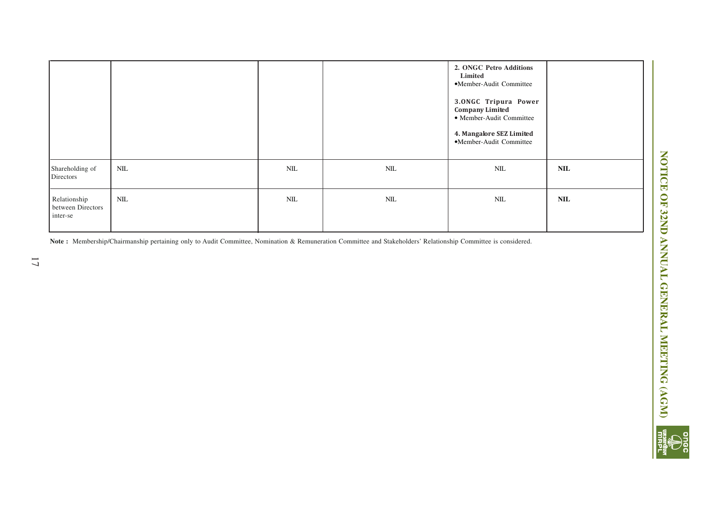|                                               |       |     |              | 2. ONGC Petro Additions<br>Limited<br>•Member-Audit Committee<br>3.0NGC Tripura Power<br><b>Company Limited</b><br>• Member-Audit Committee<br>4. Mangalore SEZ Limited<br>·Member-Audit Committee |            |
|-----------------------------------------------|-------|-----|--------------|----------------------------------------------------------------------------------------------------------------------------------------------------------------------------------------------------|------------|
| Shareholding of<br>Directors                  | $NIL$ | NIL | $\text{NIL}$ | NIL                                                                                                                                                                                                | <b>NIL</b> |
| Relationship<br>between Directors<br>inter-se | NIL   | NIL | $\text{NIL}$ | NIL                                                                                                                                                                                                | <b>NIL</b> |

**Note :** Membership/Chairmanship pertaining only to Audit Committee, Nomination & Remuneration Committee and Stakeholders' Relationship Committee is considered.

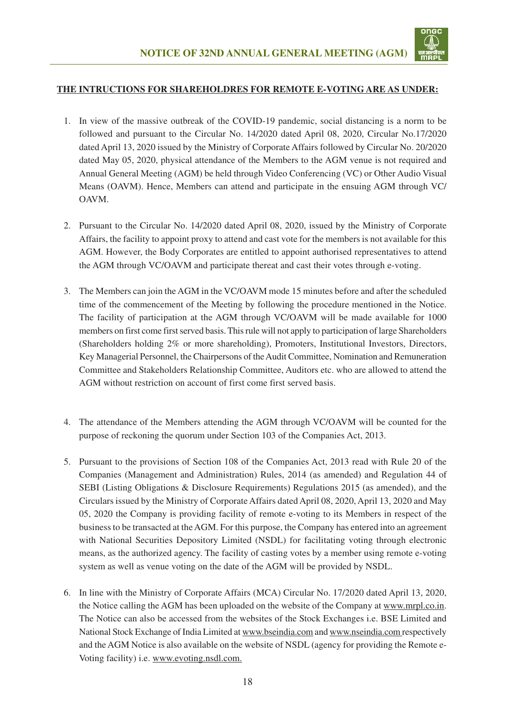

#### **THE INTRUCTIONS FOR SHAREHOLDRES FOR REMOTE E-VOTING ARE AS UNDER:**

- 1. In view of the massive outbreak of the COVID-19 pandemic, social distancing is a norm to be followed and pursuant to the Circular No. 14/2020 dated April 08, 2020, Circular No.17/2020 dated April 13, 2020 issued by the Ministry of Corporate Affairs followed by Circular No. 20/2020 dated May 05, 2020, physical attendance of the Members to the AGM venue is not required and Annual General Meeting (AGM) be held through Video Conferencing (VC) or Other Audio Visual Means (OAVM). Hence, Members can attend and participate in the ensuing AGM through VC/ OAVM.
- 2. Pursuant to the Circular No. 14/2020 dated April 08, 2020, issued by the Ministry of Corporate Affairs, the facility to appoint proxy to attend and cast vote for the members is not available for this AGM. However, the Body Corporates are entitled to appoint authorised representatives to attend the AGM through VC/OAVM and participate thereat and cast their votes through e-voting.
- 3. The Members can join the AGM in the VC/OAVM mode 15 minutes before and after the scheduled time of the commencement of the Meeting by following the procedure mentioned in the Notice. The facility of participation at the AGM through VC/OAVM will be made available for 1000 members on first come first served basis. This rule will not apply to participation of large Shareholders (Shareholders holding 2% or more shareholding), Promoters, Institutional Investors, Directors, Key Managerial Personnel, the Chairpersons of the Audit Committee, Nomination and Remuneration Committee and Stakeholders Relationship Committee, Auditors etc. who are allowed to attend the AGM without restriction on account of first come first served basis.
- 4. The attendance of the Members attending the AGM through VC/OAVM will be counted for the purpose of reckoning the quorum under Section 103 of the Companies Act, 2013.
- 5. Pursuant to the provisions of Section 108 of the Companies Act, 2013 read with Rule 20 of the Companies (Management and Administration) Rules, 2014 (as amended) and Regulation 44 of SEBI (Listing Obligations & Disclosure Requirements) Regulations 2015 (as amended), and the Circulars issued by the Ministry of Corporate Affairs dated April 08, 2020, April 13, 2020 and May 05, 2020 the Company is providing facility of remote e-voting to its Members in respect of the business to be transacted at the AGM. For this purpose, the Company has entered into an agreement with National Securities Depository Limited (NSDL) for facilitating voting through electronic means, as the authorized agency. The facility of casting votes by a member using remote e-voting system as well as venue voting on the date of the AGM will be provided by NSDL.
- 6. In line with the Ministry of Corporate Affairs (MCA) Circular No. 17/2020 dated April 13, 2020, the Notice calling the AGM has been uploaded on the website of the Company at www.mrpl.co.in. The Notice can also be accessed from the websites of the Stock Exchanges i.e. BSE Limited and National Stock Exchange of India Limited at www.bseindia.com and www.nseindia.com respectively and the AGM Notice is also available on the website of NSDL (agency for providing the Remote e-Voting facility) i.e. www.evoting.nsdl.com.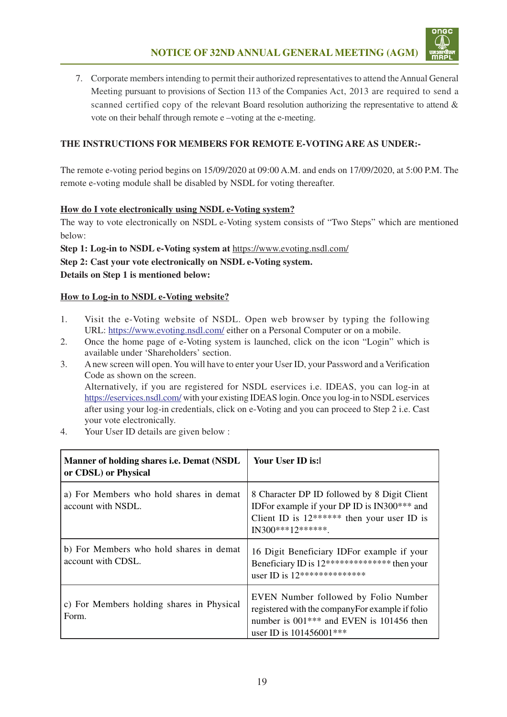

7. Corporate members intending to permit their authorized representatives to attend the Annual General Meeting pursuant to provisions of Section 113 of the Companies Act, 2013 are required to send a scanned certified copy of the relevant Board resolution authorizing the representative to attend & vote on their behalf through remote e –voting at the e-meeting.

#### **THE INSTRUCTIONS FOR MEMBERS FOR REMOTE E-VOTINGARE AS UNDER:-**

The remote e-voting period begins on 15/09/2020 at 09:00 A.M. and ends on 17/09/2020, at 5:00 P.M. The remote e-voting module shall be disabled by NSDL for voting thereafter.

#### **How do I vote electronically using NSDL e-Voting system?**

The way to vote electronically on NSDL e-Voting system consists of "Two Steps" which are mentioned below:

**Step 1: Log-in to NSDL e-Voting system at** https://www.evoting.nsdl.com/

**Step 2: Cast your vote electronically on NSDL e-Voting system.**

**Details on Step 1 is mentioned below:**

#### **How to Log-in to NSDL e-Voting website?**

- 1. Visit the e-Voting website of NSDL. Open web browser by typing the following URL: https://www.evoting.nsdl.com/ either on a Personal Computer or on a mobile.
- 2. Once the home page of e-Voting system is launched, click on the icon "Login" which is available under 'Shareholders' section.
- 3. A new screen will open. You will have to enter your User ID, your Password and a Verification Code as shown on the screen. Alternatively, if you are registered for NSDL eservices i.e. IDEAS, you can log-in at https://eservices.nsdl.com/ with your existing IDEAS login. Once you log-in to NSDL eservices after using your log-in credentials, click on e-Voting and you can proceed to Step 2 i.e. Cast your vote electronically.
- 4. Your User ID details are given below :

| Manner of holding shares <i>i.e.</i> Demat (NSDL)<br>or CDSL) or Physical | Your User ID is:1                                                                                                                                                             |
|---------------------------------------------------------------------------|-------------------------------------------------------------------------------------------------------------------------------------------------------------------------------|
| a) For Members who hold shares in demat<br>account with NSDL.             | 8 Character DP ID followed by 8 Digit Client<br>IDFor example if your DP ID is IN300*** and<br>Client ID is $12******$ then your user ID is<br>$IN300***12******$             |
| b) For Members who hold shares in demat<br>account with CDSL.             | 16 Digit Beneficiary IDFor example if your<br>Beneficiary ID is 12*************** then your<br>user ID is 12***************                                                   |
| c) For Members holding shares in Physical<br>Form.                        | EVEN Number followed by Folio Number<br>registered with the company For example if folio<br>number is 001 <sup>***</sup> and EVEN is 101456 then<br>user ID is $101456001***$ |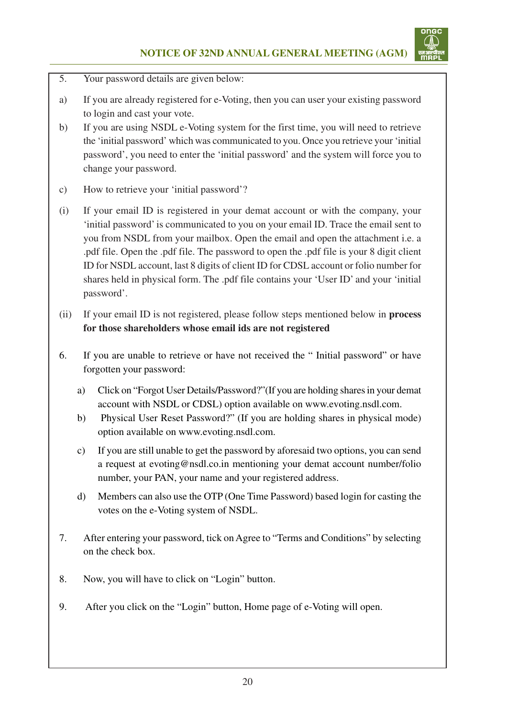

- 5. Your password details are given below:
- a) If you are already registered for e-Voting, then you can user your existing password to login and cast your vote.
- b) If you are using NSDL e-Voting system for the first time, you will need to retrieve the 'initial password' which was communicated to you. Once you retrieve your 'initial password', you need to enter the 'initial password' and the system will force you to change your password.
- c) How to retrieve your 'initial password'?
- (i) If your email ID is registered in your demat account or with the company, your 'initial password' is communicated to you on your email ID. Trace the email sent to you from NSDL from your mailbox. Open the email and open the attachment i.e. a .pdf file. Open the .pdf file. The password to open the .pdf file is your 8 digit client ID for NSDL account, last 8 digits of client ID for CDSL account or folio number for shares held in physical form. The .pdf file contains your 'User ID' and your 'initial password'.
- (ii) If your email ID is not registered, please follow steps mentioned below in **process for those shareholders whose email ids are not registered**
- 6. If you are unable to retrieve or have not received the " Initial password" or have forgotten your password:
	- a) Click on "Forgot User Details/Password?"(If you are holding shares in your demat account with NSDL or CDSL) option available on www.evoting.nsdl.com.
	- b) Physical User Reset Password?" (If you are holding shares in physical mode) option available on www.evoting.nsdl.com.
	- c) If you are still unable to get the password by aforesaid two options, you can send a request at evoting@nsdl.co.in mentioning your demat account number/folio number, your PAN, your name and your registered address.
	- d) Members can also use the OTP (One Time Password) based login for casting the votes on the e-Voting system of NSDL.
- 7. After entering your password, tick on Agree to "Terms and Conditions" by selecting on the check box.
- 8. Now, you will have to click on "Login" button.
- 9. After you click on the "Login" button, Home page of e-Voting will open.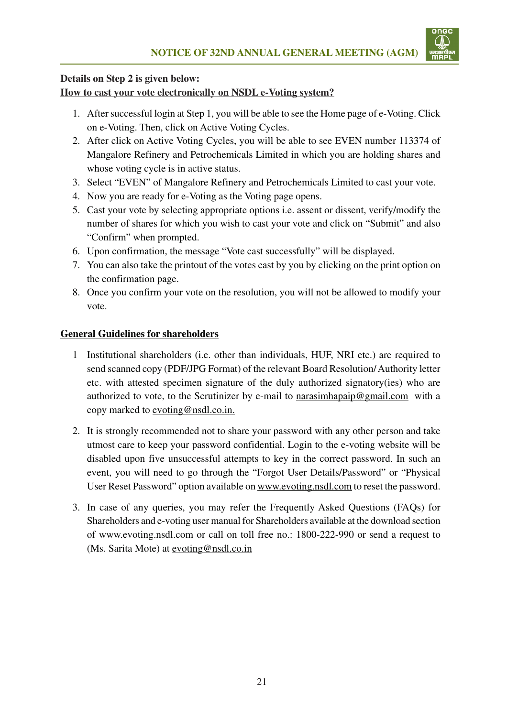

### **Details on Step 2 is given below: How to cast your vote electronically on NSDL e-Voting system?**

- 1. After successful login at Step 1, you will be able to see the Home page of e-Voting. Click on e-Voting. Then, click on Active Voting Cycles.
- 2. After click on Active Voting Cycles, you will be able to see EVEN number 113374 of Mangalore Refinery and Petrochemicals Limited in which you are holding shares and whose voting cycle is in active status.
- 3. Select "EVEN" of Mangalore Refinery and Petrochemicals Limited to cast your vote.
- 4. Now you are ready for e-Voting as the Voting page opens.
- 5. Cast your vote by selecting appropriate options i.e. assent or dissent, verify/modify the number of shares for which you wish to cast your vote and click on "Submit" and also "Confirm" when prompted.
- 6. Upon confirmation, the message "Vote cast successfully" will be displayed.
- 7. You can also take the printout of the votes cast by you by clicking on the print option on the confirmation page.
- 8. Once you confirm your vote on the resolution, you will not be allowed to modify your vote.

### **General Guidelines for shareholders**

- 1 Institutional shareholders (i.e. other than individuals, HUF, NRI etc.) are required to send scanned copy (PDF/JPG Format) of the relevant Board Resolution/ Authority letter etc. with attested specimen signature of the duly authorized signatory(ies) who are authorized to vote, to the Scrutinizer by e-mail to narasimhapaip@gmail.com with a copy marked to evoting@nsdl.co.in.
- 2. It is strongly recommended not to share your password with any other person and take utmost care to keep your password confidential. Login to the e-voting website will be disabled upon five unsuccessful attempts to key in the correct password. In such an event, you will need to go through the "Forgot User Details/Password" or "Physical User Reset Password" option available on www.evoting.nsdl.com to reset the password.
- 3. In case of any queries, you may refer the Frequently Asked Questions (FAQs) for Shareholders and e-voting user manual for Shareholders available at the download section of www.evoting.nsdl.com or call on toll free no.: 1800-222-990 or send a request to (Ms. Sarita Mote) at evoting@nsdl.co.in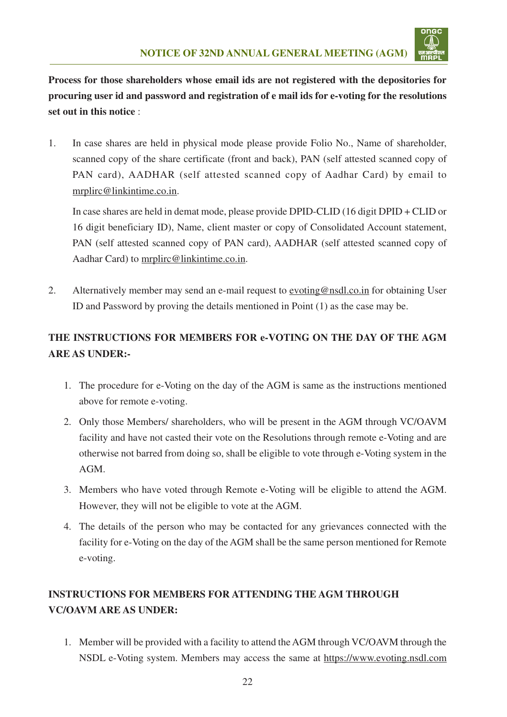

**Process for those shareholders whose email ids are not registered with the depositories for procuring user id and password and registration of e mail ids for e-voting for the resolutions set out in this notice** :

1. In case shares are held in physical mode please provide Folio No., Name of shareholder, scanned copy of the share certificate (front and back), PAN (self attested scanned copy of PAN card), AADHAR (self attested scanned copy of Aadhar Card) by email to mrplirc@linkintime.co.in.

In case shares are held in demat mode, please provide DPID-CLID (16 digit DPID + CLID or 16 digit beneficiary ID), Name, client master or copy of Consolidated Account statement, PAN (self attested scanned copy of PAN card), AADHAR (self attested scanned copy of Aadhar Card) to mrplirc@linkintime.co.in.

2. Alternatively member may send an e-mail request to evoting@nsdl.co.in for obtaining User ID and Password by proving the details mentioned in Point (1) as the case may be.

# **THE INSTRUCTIONS FOR MEMBERS FOR e-VOTING ON THE DAY OF THE AGM ARE AS UNDER:-**

- 1. The procedure for e-Voting on the day of the AGM is same as the instructions mentioned above for remote e-voting.
- 2. Only those Members/ shareholders, who will be present in the AGM through VC/OAVM facility and have not casted their vote on the Resolutions through remote e-Voting and are otherwise not barred from doing so, shall be eligible to vote through e-Voting system in the AGM.
- 3. Members who have voted through Remote e-Voting will be eligible to attend the AGM. However, they will not be eligible to vote at the AGM.
- 4. The details of the person who may be contacted for any grievances connected with the facility for e-Voting on the day of the AGM shall be the same person mentioned for Remote e-voting.

# **INSTRUCTIONS FOR MEMBERS FOR ATTENDING THE AGM THROUGH VC/OAVM ARE AS UNDER:**

1. Member will be provided with a facility to attend the AGM through VC/OAVM through the NSDL e-Voting system. Members may access the same at https://www.evoting.nsdl.com